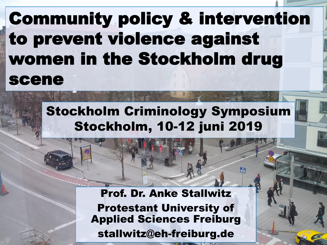## Community policy & intervention to prevent violence against women in the Stockholm drug scene

#### Stockholm Criminology Symposium Stockholm, 10-12 juni 2019

 $21.06$  Prof. Dr.  $4.06$  Prof. Angles States stallwitz@eh-freiburg.de Prof. Dr. Anke Stallwitz Protestant University of Applied Sciences Freiburg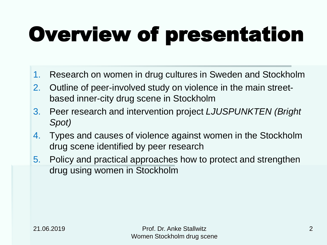# Overview of presentation

- 1. Research on women in drug cultures in Sweden and Stockholm
- 2. Outline of peer-involved study on violence in the main streetbased inner-city drug scene in Stockholm
- 3. Peer research and intervention project *LJUSPUNKTEN (Bright Spot)*
- 4. Types and causes of violence against women in the Stockholm drug scene identified by peer research
- 5. Policy and practical approaches how to protect and strengthen drug using women in Stockholm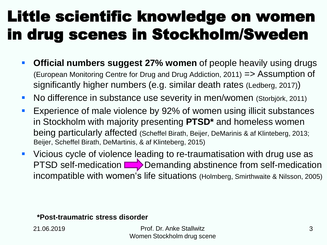### Little scientific knowledge on women in drug scenes in Stockholm/Sweden

- **Official numbers suggest 27% women** of people heavily using drugs (European Monitoring Centre for Drug and Drug Addiction, 2011) => Assumption of significantly higher numbers (e.g. similar death rates (Ledberg, 2017))
- No difference in substance use severity in men/women (Storbjörk, 2011)
- Experience of male violence by 92% of women using illicit substances in Stockholm with majority presenting **PTSD\*** and homeless women being particularly affected (Scheffel Birath, Beijer, DeMarinis & af Klinteberg, 2013; Beijer, Scheffel Birath, DeMartinis, & af Klinteberg, 2015)
- Vicious cycle of violence leading to re-traumatisation with drug use as PTSD self-medication  $\Box$  Demanding abstinence from self-medication incompatible with women's life situations (Holmberg, Smirthwaite & Nilsson, 2005)

**\*Post-traumatric stress disorder**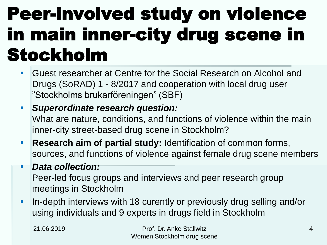# Peer-involved study on violence in main inner-city drug scene in Stockholm

- Guest researcher at Centre for the Social Research on Alcohol and Drugs (SoRAD) 1 - 8/2017 and cooperation with local drug user "Stockholms brukarföreningen" (SBF)
- *Superordinate research question:*  What are nature, conditions, and functions of violence within the main inner-city street-based drug scene in Stockholm?
- **Research aim of partial study:** Identification of common forms, sources, and functions of violence against female drug scene members
- *Data collection:*  Peer-led focus groups and interviews and peer research group meetings in Stockholm
- **In-depth interviews with 18 curently or previously drug selling and/or** using individuals and 9 experts in drugs field in Stockholm

21.06.2019 Prof. Dr. Anke Stallwitz Women Stockholm drug scene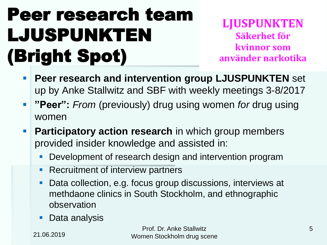# Peer research team LJUSPUNKTEN (Bright Spot)

**LJUSPUNKTEN** Säkerhet för kvinnor som använder narkotika

- **Peer research and intervention group LJUSPUNKTEN** set up by Anke Stallwitz and SBF with weekly meetings 3-8/2017
- **"Peer":** *From* (previously) drug using women *for* drug using women
- **Participatory action research** in which group members provided insider knowledge and assisted in:
	- Development of research design and intervention program
	- Recruitment of interview partners
	- Data collection, e.g. focus group discussions, interviews at methdaone clinics in South Stockholm, and ethnographic observation
	- Data analysis

21.06.2019

Prof. Dr. Anke Stallwitz 5 Women Stockholm drug scene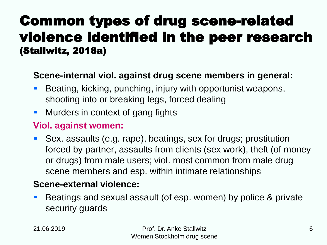#### Common types of drug scene-related violence identified in the peer research (Stallwitz, 2018a)

#### **Scene-internal viol. against drug scene members in general:**

- **Beating, kicking, punching, injury with opportunist weapons,** shooting into or breaking legs, forced dealing
- **Nurders in context of gang fights**

#### **Viol. against women:**

 Sex. assaults (e.g. rape), beatings, sex for drugs; prostitution forced by partner, assaults from clients (sex work), theft (of money or drugs) from male users; viol. most common from male drug scene members and esp. within intimate relationships

#### **Scene-external violence:**

**Beatings and sexual assault (of esp. women) by police & private** security guards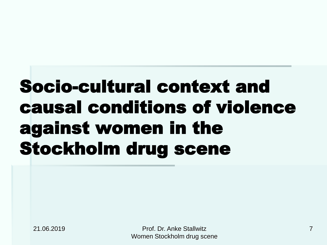# Socio-cultural context and causal conditions of violence against women in the Stockholm drug scene

21.06.2019 Prof. Dr. Anke Stallwitz Women Stockholm drug scene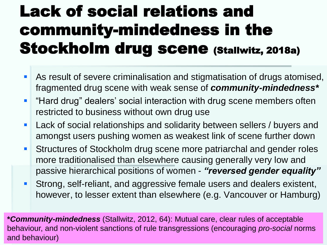### Lack of social relations and community-mindedness in the Stockholm drug scene (Stallwitz, 2018a)

- **As result of severe criminalisation and stigmatisation of drugs atomised,** fragmented drug scene with weak sense of *community-mindedness\**
- "Hard drug" dealers' social interaction with drug scene members often restricted to business without own drug use
- **Lack of social relationships and solidarity between sellers / buyers and** amongst users pushing women as weakest link of scene further down
- **Structures of Stockholm drug scene more patriarchal and gender roles** more traditionalised than elsewhere causing generally very low and passive hierarchical positions of women - *"reversed gender equality"*
- **Strong, self-reliant, and aggressive female users and dealers existent,** however, to lesser extent than elsewhere (e.g. Vancouver or Hamburg)

**\****Community-mindedness* (Stallwitz, 2012, 64): Mutual care, clear rules of acceptable behaviour, and non-violent sanctions of rule transgressions (encouraging *pro-social* norms and behaviour)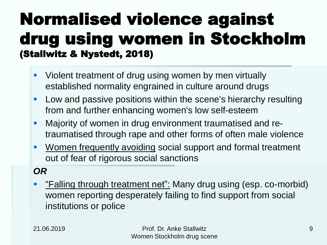### Normalised violence against drug using women in Stockholm (Stallwitz & Nystedt, 2018)

- **UI** Violent treatment of drug using women by men virtually established normality engrained in culture around drugs
- **Low and passive positions within the scene's hierarchy resulting** from and further enhancing women's low self-esteem
- **Majority of women in drug environment traumatised and re**traumatised through rape and other forms of often male violence
- **Women frequently avoiding social support and formal treatment** out of fear of rigorous social sanctions

#### *OR*

**F** "Falling through treatment net": Many drug using (esp. co-morbid) women reporting desperately failing to find support from social institutions or police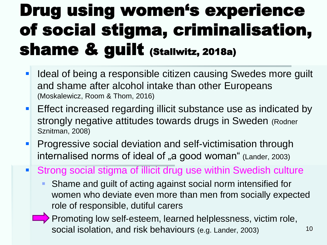### Drug using women's experience of social stigma, criminalisation, shame & guilt (Stallwitz, 2018a)

- I Ideal of being a responsible citizen causing Swedes more guilt and shame after alcohol intake than other Europeans (Moskalewicz, Room & Thom, 2016)
- **Effect increased regarding illicit substance use as indicated by** strongly negative attitudes towards drugs in Sweden (Rodner Sznitman, 2008)
- **Progressive social deviation and self-victimisation through** internalised norms of ideal of "a good woman" (Lander, 2003)
- Strong social stigma of illicit drug use within Swedish culture
	- Shame and guilt of acting against social norm intensified for women who deviate even more than men from socially expected role of responsible, dutiful carers
	- Promoting low self-esteem, learned helplessness, victim role, social isolation, and risk behaviours (e.g. Lander, 2003) 10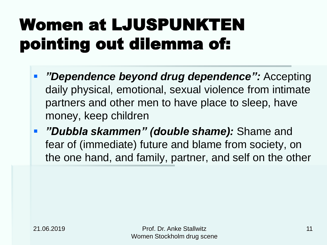## Women at LJUSPUNKTEN pointing out dilemma of:

- *"Dependence beyond drug dependence":* Accepting daily physical, emotional, sexual violence from intimate partners and other men to have place to sleep, have money, keep children
- *"Dubbla skammen" (double shame):* Shame and fear of (immediate) future and blame from society, on the one hand, and family, partner, and self on the other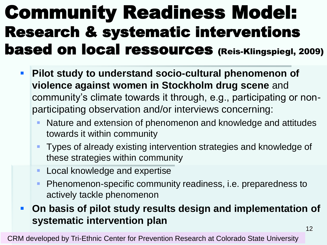### Community Readiness Model: Research & systematic interventions based on local ressources (Reis-Klingspiegl, 2009)

- **Pilot study to understand socio-cultural phenomenon of violence against women in Stockholm drug scene** and community's climate towards it through, e.g., participating or nonparticipating observation and/or interviews concerning:
	- Nature and extension of phenomenon and knowledge and attitudes towards it within community
	- **Types of already existing intervention strategies and knowledge of** these strategies within community
	- **Local knowledge and expertise**
	- Phenomenon-specific community readiness, i.e. preparedness to actively tackle phenomenon
- **On basis of pilot study results design and implementation of systematic intervention plan**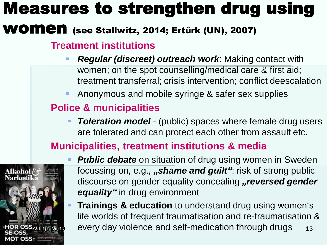### Measures to strengthen drug using

#### WOMEN (see Stallwitz, 2014; Ertürk (UN), 2007)

#### **Treatment institutions**

- *Regular (discreet) outreach work*: Making contact with women; on the spot counselling/medical care & first aid; treatment transferral; crisis intervention; conflict deescalation
- Anonymous and mobile syringe & safer sex supplies

#### **Police & municipalities**

 *Toleration model* - (public) spaces where female drug users are tolerated and can protect each other from assault etc.

#### **Municipalities, treatment institutions & media**



- **Public debate** on situation of drug using women in Sweden focussing on, e.g., *"shame and guilt"*; risk of strong public discourse on gender equality concealing "reversed gender *equality"* in drug environment
- **Trainings & education** to understand drug using women's life worlds of frequent traumatisation and re-traumatisation & every day violence and self-medication through drugs 13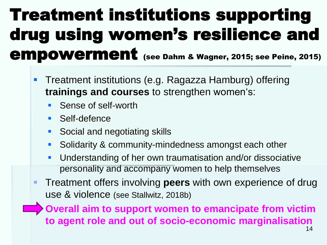### Treatment institutions supporting drug using women's resilience and empowerment (see Dahm & Wagner, 2015; see Peine, 2015)

- **Treatment institutions (e.g. Ragazza Hamburg) offering trainings and courses** to strengthen women's:
	- Sense of self-worth
	- **Self-defence**
	- **Social and negotiating skills**
	- Solidarity & community-mindedness amongst each other
	- Understanding of her own traumatisation and/or dissociative personality and accompany women to help themselves
- Treatment offers involving **peers** with own experience of drug use & violence (see Stallwitz, 2018b)

 **Overall aim to support women to emancipate from victim to agent role and out of socio-economic marginalisation**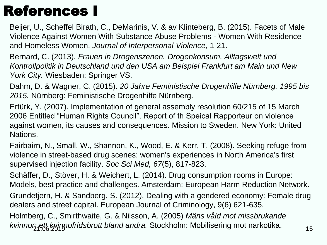#### References I

Beijer, U., Scheffel Birath, C., DeMarinis, V. & av Klinteberg, B. (2015). Facets of Male Violence Against Women With Substance Abuse Problems - Women With Residence and Homeless Women. *Journal of Interpersonal Violence*, 1-21.

Bernard, C. (2013). *Frauen in Drogenszenen. Drogenkonsum, Alltagswelt und Kontrollpolitik in Deutschland und den USA am Beispiel Frankfurt am Main und New York City.* Wiesbaden: Springer VS.

Dahm, D. & Wagner, C. (2015). *20 Jahre Feministische Drogenhilfe Nürnberg. 1995 bis 2015.* Nürnberg: Feministische Drogenhilfe Nürnberg.

Ertürk, Y. (2007). Implementation of general assembly resolution 60/215 of 15 March 2006 Entitled "Human Rights Council". Report of th Speical Rapporteur on violence against women, its causes and consequences. Mission to Sweden. New York: United Nations.

Fairbairn, N., Small, W., Shannon, K., Wood, E. & Kerr, T. (2008). Seeking refuge from violence in street-based drug scenes: women's experiences in North America's first supervised injection facility. *Soc Sci Med, 67*(5), 817-823.

Schäffer, D., Stöver, H. & Weichert, L. (2014). Drug consumption rooms in Europe: Models, best practice and challenges. Amsterdam: European Harm Reduction Network.

Grundetjern, H. & Sandberg, S. (2012). Dealing with a gendered economy: Female drug dealers and street capital. European Journal of Criminology, 9(6) 621-635.

Holmberg, C., Smirthwaite, G. & Nilsson, A. (2005) *Mäns våld mot missbrukande*  kvinnor: ett kyinnofridsbrott bland andra. Stockholm: Mobilisering mot narkotika. 215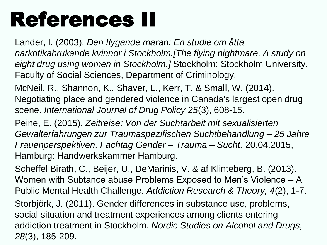# References II

Lander, I. (2003). *Den flygande maran: En studie om åtta narkotikabrukande kvinnor i Stockholm.[The flying nightmare. A study on eight drug using women in Stockholm.]* Stockholm: Stockholm University, Faculty of Social Sciences, Department of Criminology.

McNeil, R., Shannon, K., Shaver, L., Kerr, T. & Small, W. (2014). Negotiating place and gendered violence in Canada's largest open drug scene. *International Journal of Drug Policy 25*(3), 608-15.

Peine, E. (2015). *Zeitreise: Von der Suchtarbeit mit sexualisierten Gewalterfahrungen zur Traumaspezifischen Suchtbehandlung – 25 Jahre Frauenperspektiven. Fachtag Gender – Trauma – Sucht.* 20.04.2015, Hamburg: Handwerkskammer Hamburg.

Scheffel Birath, C., Beijer, U., DeMarinis, V. & af Klinteberg, B. (2013). Women with Subtance abuse Problems Exposed to Men's Violence – A Public Mental Health Challenge. *Addiction Research & Theory, 4*(2), 1-7.

Storbjörk, J. (2011). Gender differences in substance use, problems, social situation and treatment experiences among clients entering addiction treatment in Stockholm. *Nordic Studies on Alcohol and Drugs, 28*(3), 185-209.